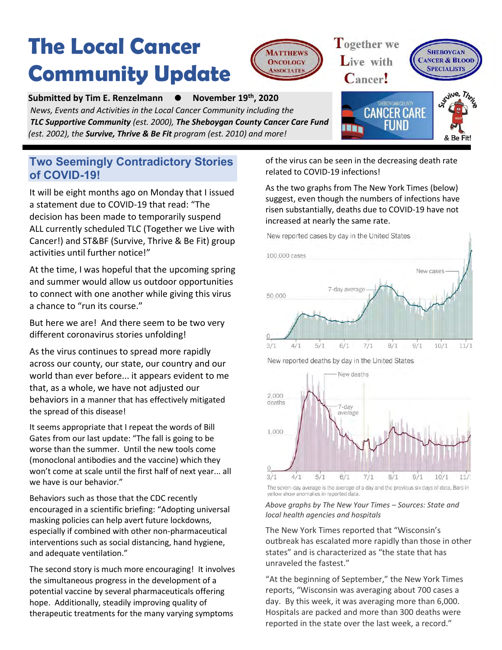## **The Local Cancer Community Update**



**Submitted by Tim E. Renzelmann ● th, 2020** *News, Events and Activities in the Local Cancer Community including the TLC Supportive Community (est. 2000), The Sheboygan County Cancer Care Fund (est. 2002), the Survive, Thrive & Be Fit program (est. 2010) and more!*

### **Two Seemingly Contradictory Stories of COVID-19!**

It will be eight months ago on Monday that I issued a statement due to COVID-19 that read: "The decision has been made to temporarily suspend ALL currently scheduled TLC (Together we Live with Cancer!) and ST&BF (Survive, Thrive & Be Fit) group activities until further notice!"

At the time, I was hopeful that the upcoming spring and summer would allow us outdoor opportunities to connect with one another while giving this virus a chance to "run its course."

But here we are! And there seem to be two very different coronavirus stories unfolding!

As the virus continues to spread more rapidly across our county, our state, our country and our world than ever before... it appears evident to me that, as a whole, we have not adjusted our behaviors in a manner that has effectively mitigated the spread of this disease!

It seems appropriate that I repeat the words of Bill Gates from our last update: "The fall is going to be worse than the summer. Until the new tools come (monoclonal antibodies and the vaccine) which they won't come at scale until the first half of next year... all we have is our behavior."

Behaviors such as those that the CDC recently encouraged in a scientific briefing: "Adopting universal masking policies can help avert future lockdowns, especially if combined with other non-pharmaceutical interventions such as social distancing, hand hygiene, and adequate ventilation."

The second story is much more encouraging! It involves the simultaneous progress in the development of a potential vaccine by several pharmaceuticals offering hope. Additionally, steadily improving quality of therapeutic treatments for the many varying symptoms

of the virus can be seen in the decreasing death rate related to COVID-19 infections!

Together we

Live with

As the two graphs from The New York Times (below) suggest, even though the numbers of infections have risen substantially, deaths due to COVID-19 have not increased at nearly the same rate.





The seven-day average is the average of a day and the previous six days of data. Bars in yellow show anomalies in reported data.

#### *Above graphs by The New Your Times – Sources: State and local health agencies and hospitals*

The New York Times reported that "Wisconsin's outbreak has escalated more rapidly than those in other states" and is characterized as "the state that has unraveled the fastest."

"At the beginning of September," the New York Times reports, "Wisconsin was averaging about 700 cases a day. By this week, it was averaging more than 6,000. Hospitals are packed and more than 300 deaths were reported in the state over the last week, a record."

New reported deaths by day in the United States



**HEBOYGAN** 

**SPECIALIST** 

**NCER & BLOOD**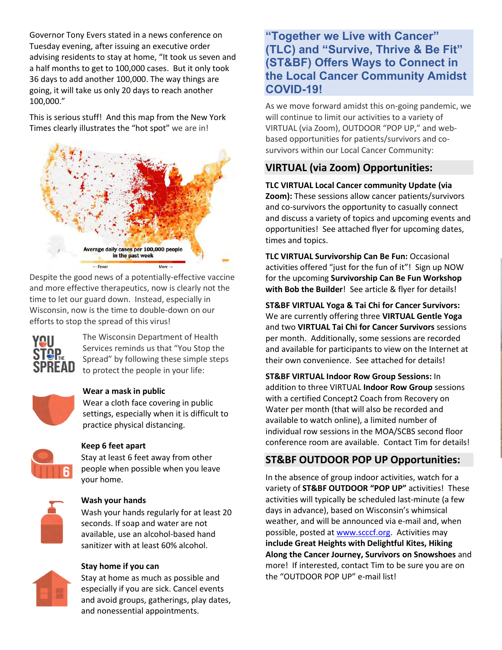Governor Tony Evers stated in a news conference on Tuesday evening, after issuing an executive order advising residents to stay at home, "It took us seven and a half months to get to 100,000 cases. But it only took 36 days to add another 100,000. The way things are going, it will take us only 20 days to reach another 100,000."

This is serious stuff! And this map from the New York Times clearly illustrates the "hot spot" we are in!



Despite the good news of a potentially-effective vaccine and more effective therapeutics, now is clearly not the time to let our guard down. Instead, especially in Wisconsin, now is the time to double-down on our efforts to stop the spread of this virus!



The Wisconsin Department of Health Services reminds us that "You Stop the Spread" by following these simple steps to protect the people in your life:



#### **Wear a mask in public**

Wear a cloth face covering in public settings, especially when it is difficult to practice physical distancing.



### **Keep 6 feet apart**

Stay at least 6 feet away from other people when possible when you leave your home.



### **Wash your hands**

Wash your hands regularly for at least 20 seconds. If soap and water are not available, use an alcohol-based hand sanitizer with at least 60% alcohol.

### **Stay home if you can**

Stay at home as much as possible and especially if you are sick. Cancel events and avoid groups, gatherings, play dates, and nonessential appointments.

### **"Together we Live with Cancer" (TLC) and "Survive, Thrive & Be Fit" (ST&BF) Offers Ways to Connect in the Local Cancer Community Amidst COVID-19!**

As we move forward amidst this on-going pandemic, we will continue to limit our activities to a variety of VIRTUAL (via Zoom), OUTDOOR "POP UP," and webbased opportunities for patients/survivors and cosurvivors within our Local Cancer Community:

### **VIRTUAL (via Zoom) Opportunities:**

**TLC VIRTUAL Local Cancer community Update (via Zoom):** These sessions allow cancer patients/survivors and co-survivors the opportunity to casually connect and discuss a variety of topics and upcoming events and opportunities! See attached flyer for upcoming dates, times and topics.

**TLC VIRTUAL Survivorship Can Be Fun:** Occasional activities offered "just for the fun of it"! Sign up NOW for the upcoming **Survivorship Can Be Fun Workshop with Bob the Builder**! See article & flyer for details!

**ST&BF VIRTUAL Yoga & Tai Chi for Cancer Survivors:** We are currently offering three **VIRTUAL Gentle Yoga**  and two **VIRTUAL Tai Chi for Cancer Survivors** sessions per month. Additionally, some sessions are recorded and available for participants to view on the Internet at their own convenience. See attached for details!

**ST&BF VIRTUAL Indoor Row Group Sessions:** In addition to three VIRTUAL **Indoor Row Group** sessions with a certified Concept2 Coach from Recovery on Water per month (that will also be recorded and available to watch online), a limited number of individual row sessions in the MOA/SCBS second floor conference room are available. Contact Tim for details!

### **ST&BF OUTDOOR POP UP Opportunities:**

In the absence of group indoor activities, watch for a variety of **ST&BF OUTDOOR "POP UP"** activities! These activities will typically be scheduled last-minute (a few days in advance), based on Wisconsin's whimsical weather, and will be announced via e-mail and, when possible, posted a[t www.scccf.org.](http://www.scccf.org/) Activities may **include Great Heights with Delightful Kites, Hiking Along the Cancer Journey, Survivors on Snowshoes** and more! If interested, contact Tim to be sure you are on the "OUTDOOR POP UP" e-mail list!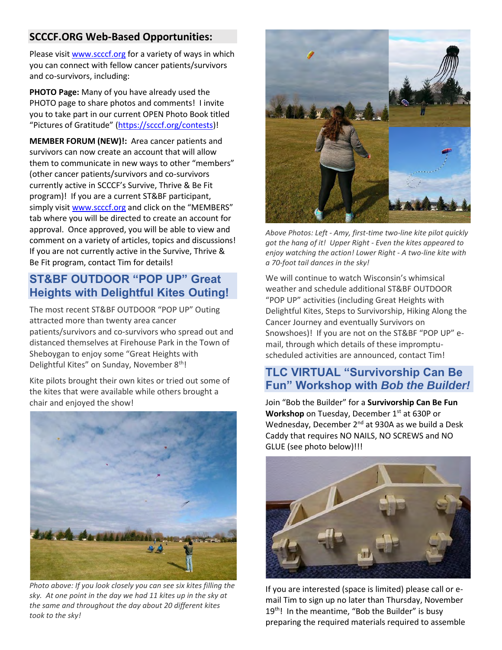### **SCCCF.ORG Web-Based Opportunities:**

Please visi[t www.scccf.org](http://www.scccf.org/) for a variety of ways in which you can connect with fellow cancer patients/survivors and co-survivors, including:

**PHOTO Page:** Many of you have already used the PHOTO page to share photos and comments! I invite you to take part in our current OPEN Photo Book titled "Pictures of Gratitude" ([https://scccf.org/contests\)](https://scccf.org/contests)!

**MEMBER FORUM (NEW)!:** Area cancer patients and survivors can now create an account that will allow them to communicate in new ways to other "members" (other cancer patients/survivors and co-survivors currently active in SCCCF's Survive, Thrive & Be Fit program)! If you are a current ST&BF participant, simply visit [www.scccf.org](http://www.scccf.org/) and click on the "MEMBERS" tab where you will be directed to create an account for approval. Once approved, you will be able to view and comment on a variety of articles, topics and discussions! If you are not currently active in the Survive, Thrive & Be Fit program, contact Tim for details!

### **ST&BF OUTDOOR "POP UP" Great Heights with Delightful Kites Outing!**

The most recent ST&BF OUTDOOR "POP UP" Outing attracted more than twenty area cancer patients/survivors and co-survivors who spread out and distanced themselves at Firehouse Park in the Town of Sheboygan to enjoy some "Great Heights with Delightful Kites" on Sunday, November 8<sup>th</sup>!

Kite pilots brought their own kites or tried out some of the kites that were available while others brought a chair and enjoyed the show!



*Photo above: If you look closely you can see six kites filling the sky. At one point in the day we had 11 kites up in the sky at the same and throughout the day about 20 different kites took to the sky!* 



*Above Photos: Left - Amy, first-time two-line kite pilot quickly got the hang of it! Upper Right - Even the kites appeared to enjoy watching the action! Lower Right - A two-line kite with a 70-foot tail dances in the sky!*

We will continue to watch Wisconsin's whimsical weather and schedule additional ST&BF OUTDOOR "POP UP" activities (including Great Heights with Delightful Kites, Steps to Survivorship, Hiking Along the Cancer Journey and eventually Survivors on Snowshoes)! If you are not on the ST&BF "POP UP" email, through which details of these impromptuscheduled activities are announced, contact Tim!

### **TLC VIRTUAL "Survivorship Can Be Fun" Workshop with** *Bob the Builder!*

Join "Bob the Builder" for a **Survivorship Can Be Fun**  Workshop on Tuesday, December 1<sup>st</sup> at 630P or Wednesday, December 2<sup>nd</sup> at 930A as we build a Desk Caddy that requires NO NAILS, NO SCREWS and NO GLUE (see photo below)!!!



If you are interested (space is limited) please call or email Tim to sign up no later than Thursday, November 19<sup>th</sup>! In the meantime, "Bob the Builder" is busy preparing the required materials required to assemble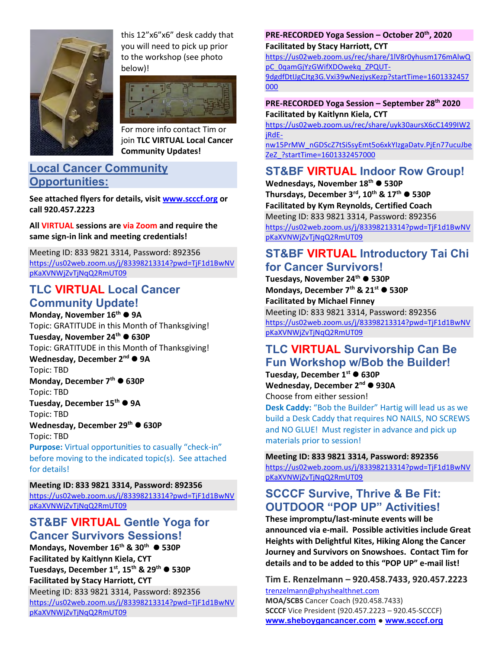

this 12"x6"x6" desk caddy that you will need to pick up prior to the workshop (see photo below)!



For more info contact Tim or join **TLC VIRTUAL Local Cancer Community Updates!**

### **Local Cancer Community Opportunities:**

**See attached flyers for details, visit [www.scccf.org](http://www.scccf.org/) or call 920.457.2223**

**All VIRTUAL sessions are via Zoom and require the same sign-in link and meeting credentials!**

Meeting ID: 833 9821 3314, Password: 892356 https://us02web.zoom.us/j/83398213314?pwd=TjF1d1BwNV pKaXVNWjZvTjNqQ2RmUT09

### **TLC VIRTUAL Local Cancer Community Update!**

**Monday, November 16th** ⚫ **9A** Topic: GRATITUDE in this Month of Thanksgiving! **Tuesday, November 24th** ⚫ **630P** Topic: GRATITUDE in this Month of Thanksgiving! **Wednesday, December 2nd** ⚫ **9A** Topic: TBD **Monday, December 7th** ⚫ **630P** Topic: TBD **Tuesday, December 15th** ⚫ **9A** Topic: TBD **Wednesday, December 29th** ⚫ **630P** Topic: TBD **Purpose:** Virtual opportunities to casually "check-in" before moving to the indicated topic(s). See attached

for details!

**Meeting ID: 833 9821 3314, Password: 892356** https://us02web.zoom.us/j/83398213314?pwd=TjF1d1BwNV pKaXVNWjZvTjNqQ2RmUT09

### **ST&BF VIRTUAL Gentle Yoga for Cancer Survivors Sessions!**

**Mondays, November 16th & 30th** ⚫ **530P Facilitated by Kaitlynn Kiela, CYT Tuesdays, December 1st, 15th & 29th** ⚫ **530P Facilitated by Stacy Harriott, CYT** Meeting ID: 833 9821 3314, Password: 892356 https://us02web.zoom.us/j/83398213314?pwd=TjF1d1BwNV pKaXVNWjZvTjNqQ2RmUT09

#### **PRE-RECORDED Yoga Session – October 20th, 2020 Facilitated by Stacy Harriott, CYT**

[https://us02web.zoom.us/rec/share/1lV8r0yhusm176mAlwQ](https://us02web.zoom.us/rec/share/1lV8r0yhusm176mAlwQpC_0qamGjYzGWifXDOwekq_ZPQUT-9dgdfDtIJgCJtg3G.Vxi39wNezjysKezp?startTime=1601332457000) [pC\\_0qamGjYzGWifXDOwekq\\_ZPQUT-](https://us02web.zoom.us/rec/share/1lV8r0yhusm176mAlwQpC_0qamGjYzGWifXDOwekq_ZPQUT-9dgdfDtIJgCJtg3G.Vxi39wNezjysKezp?startTime=1601332457000)[9dgdfDtIJgCJtg3G.Vxi39wNezjysKezp?startTime=1601332457](https://us02web.zoom.us/rec/share/1lV8r0yhusm176mAlwQpC_0qamGjYzGWifXDOwekq_ZPQUT-9dgdfDtIJgCJtg3G.Vxi39wNezjysKezp?startTime=1601332457000) [000](https://us02web.zoom.us/rec/share/1lV8r0yhusm176mAlwQpC_0qamGjYzGWifXDOwekq_ZPQUT-9dgdfDtIJgCJtg3G.Vxi39wNezjysKezp?startTime=1601332457000)

#### **PRE-RECORDED Yoga Session – September 28th 2020 Facilitated by Kaitlynn Kiela, CYT**

https://us02web.zoom.us/rec/share/uyk30aursX6cC1499IW2 jRdE-

nw15PrMW\_nGDScZ7tSiSsyEmt5o6xkYIzgaDatv.PjEn77ucuJbe ZeZ\_?startTime=1601332457000

### **ST&BF VIRTUAL Indoor Row Group!**

**Wednesdays, November 18 th** ⚫ **530P Thursdays, December 3rd, 10th & 17th** ⚫ **530P Facilitated by Kym Reynolds, Certified Coach** Meeting ID: 833 9821 3314, Password: 892356 https://us02web.zoom.us/j/83398213314?pwd=TjF1d1BwNV pKaXVNWjZvTjNqQ2RmUT09

### **ST&BF VIRTUAL Introductory Tai Chi for Cancer Survivors!**

**Tuesdays, November 24th** ⚫ **530P Mondays, December 7th & 21st** ⚫ **530P Facilitated by Michael Finney**

Meeting ID: 833 9821 3314, Password: 892356 https://us02web.zoom.us/j/83398213314?pwd=TjF1d1BwNV pKaXVNWjZvTjNqQ2RmUT09

### **TLC VIRTUAL Survivorship Can Be Fun Workshop w/Bob the Builder!**

**Tuesday, December 1st** ⚫ **630P Wednesday, December 2nd** ⚫ **930A** Choose from either session!

**Desk Caddy:** "Bob the Builder" Hartig will lead us as we build a Desk Caddy that requires NO NAILS, NO SCREWS and NO GLUE! Must register in advance and pick up materials prior to session!

### **Meeting ID: 833 9821 3314, Password: 892356**

https://us02web.zoom.us/j/83398213314?pwd=TjF1d1BwNV pKaXVNWjZvTjNqQ2RmUT09

### **SCCCF Survive, Thrive & Be Fit: OUTDOOR "POP UP" Activities!**

**These impromptu/last-minute events will be announced via e-mail. Possible activities include Great Heights with Delightful Kites, Hiking Along the Cancer Journey and Survivors on Snowshoes. Contact Tim for details and to be added to this "POP UP" e-mail list!**

**Tim E. Renzelmann – 920.458.7433, 920.457.2223** [trenzelmann@physhealthnet.com](mailto:trenzelmann@physhealthnet.com) **MOA/SCBS** Cancer Coach (920.458.7433) **SCCCF** Vice President (920.457.2223 – 920.45-SCCCF) **[www.sheboygancancer.com](http://www.sheboygancancer.com/) ● [www.scccf.org](http://www.scccf.org/)**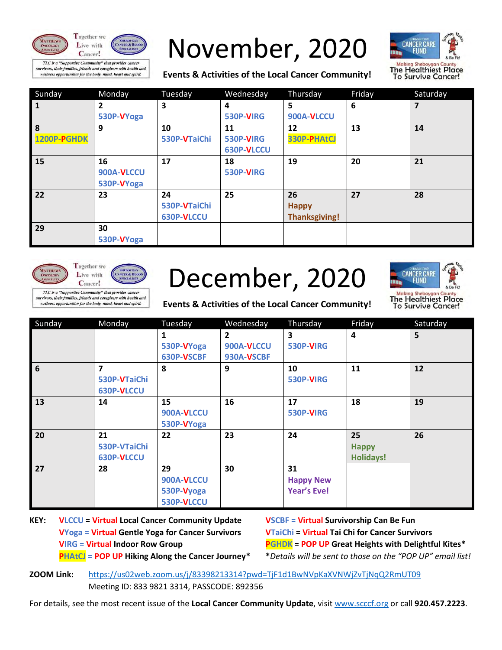



TLC is a "Supportive Community" that provides cancer irvivors, their families, friends and caregivers with health and wellness opportunities for the body, mind, heart and spirit.

# November, 2020

**Events & Activities of the Local Cancer Community!**



| Sunday       | Monday       | Tuesday      | Wednesday  | Thursday             | Friday | Saturday |
|--------------|--------------|--------------|------------|----------------------|--------|----------|
| $\mathbf{1}$ | $\mathbf{2}$ | 3            | 4          | 5                    | 6      |          |
|              | 530P-VYoga   |              | 530P-VIRG  | 900A-VLCCU           |        |          |
| 8            | 9            | 10           | 11         | 12                   | 13     | 14       |
| 1200P-PGHDK  |              | 530P-VTaiChi | 530P-VIRG  | 330P-PHAtCJ          |        |          |
|              |              |              | 630P-VLCCU |                      |        |          |
| 15           | 16           | 17           | 18         | 19                   | 20     | 21       |
|              | 900A-VLCCU   |              | 530P-VIRG  |                      |        |          |
|              | 530P-VYoga   |              |            |                      |        |          |
| 22           | 23           | 24           | 25         | 26                   | 27     | 28       |
|              |              | 530P-VTaiChi |            | <b>Happy</b>         |        |          |
|              |              | 630P-VLCCU   |            | <b>Thanksgiving!</b> |        |          |
| 29           | 30           |              |            |                      |        |          |
|              | 530P-VYoga   |              |            |                      |        |          |





urvivors, their families, friends and caregivers with health and wellness opportunities for the body, mind, heart and spirit.

# December, 2020



**Events & Activities of the Local Cancer Community!**

| Sunday          | Monday                                       | Tuesday                                      | Wednesday                                  | Thursday                                     | Friday                                 | Saturday |
|-----------------|----------------------------------------------|----------------------------------------------|--------------------------------------------|----------------------------------------------|----------------------------------------|----------|
|                 |                                              | 1<br>530P-VYoga<br>630P-VSCBF                | $\overline{2}$<br>900A-VLCCU<br>930A-VSCBF | 3<br>530P-VIRG                               | $\overline{a}$                         | 5        |
| $6\phantom{1}6$ | $\overline{7}$<br>530P-VTaiChi<br>630P-VLCCU | 8                                            | 9                                          | 10<br>530P-VIRG                              | 11                                     | 12       |
| 13              | 14                                           | 15<br>900A-VLCCU<br>530P-VYoga               | 16                                         | 17<br>530P-VIRG                              | 18                                     | 19       |
| 20              | 21<br>530P-VTaiChi<br>630P-VLCCU             | 22                                           | 23                                         | 24                                           | 25<br><b>Happy</b><br><b>Holidays!</b> | 26       |
| 27              | 28                                           | 29<br>900A-VLCCU<br>530P-Vyoga<br>530P-VLCCU | 30                                         | 31<br><b>Happy New</b><br><b>Year's Eve!</b> |                                        |          |

**KEY: VLCCU = Virtual Local Cancer Community Update VSCBF = Virtual Survivorship Can Be Fun VYoga = Virtual Gentle Yoga for Cancer Survivors VTaiChi = Virtual Tai Chi for Cancer Survivors**

**VIRG = Virtual Indoor Row Group PGHDK = POP UP Great Heights with Delightful Kites\* PHAtCJ = POP UP Hiking Along the Cancer Journey\* \****Details will be sent to those on the "POP UP" email list!*

**ZOOM Link:** <https://us02web.zoom.us/j/83398213314?pwd=TjF1d1BwNVpKaXVNWjZvTjNqQ2RmUT09> Meeting ID: 833 9821 3314, PASSCODE: 892356

For details, see the most recent issue of the **Local Cancer Community Update**, visit [www.scccf.org](http://www.scccf.org/) or call **920.457.2223**.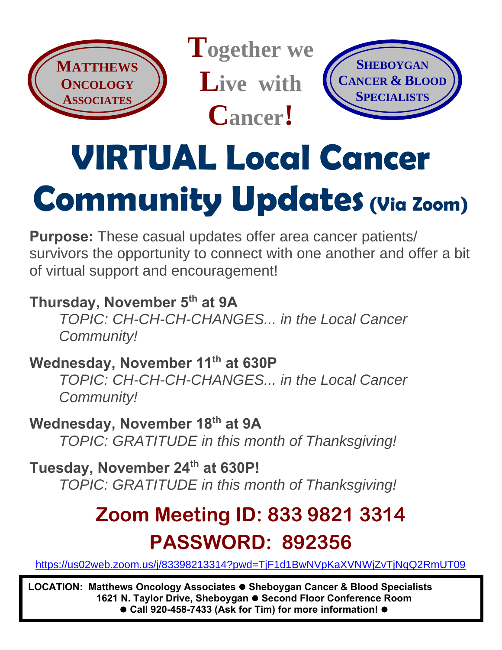

**Together we Live with Cancer!**



# **VIRTUAL Local Cancer Community Updates (Via Zoom)**

**Purpose:** These casual updates offer area cancer patients/ survivors the opportunity to connect with one another and offer a bit of virtual support and encouragement!

### **Thursday, November 5th at 9A** *TOPIC: CH-CH-CH-CHANGES... in the Local Cancer Community!*

**Wednesday, November 11th at 630P** *TOPIC: CH-CH-CH-CHANGES... in the Local Cancer Community!*

**Wednesday, November 18 th at 9A** *TOPIC: GRATITUDE in this month of Thanksgiving!*

**Tuesday, November 24th at 630P!** *TOPIC: GRATITUDE in this month of Thanksgiving!*

## **Zoom Meeting ID: 833 9821 3314 PASSWORD: 892356**

<https://us02web.zoom.us/j/83398213314?pwd=TjF1d1BwNVpKaXVNWjZvTjNqQ2RmUT09>

**LOCATION: Matthews Oncology Associates** ⚫ **Sheboygan Cancer & Blood Specialists 1621 N. Taylor Drive, Sheboygan** ⚫ **Second Floor Conference Room** ⚫ **Call 920-458-7433 (Ask for Tim) for more information!** ⚫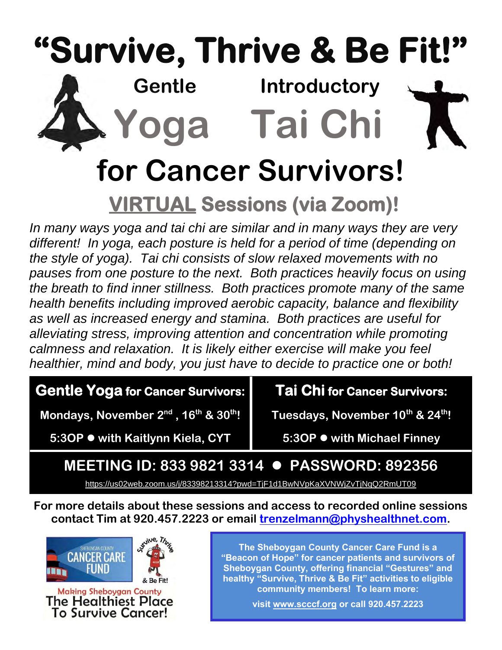# **"Survive, Thrive & Be Fit!"**



 **Gentle Introductory Yoga Tai Chi**

# **for Cancer Survivors!**

## **VIRTUAL Sessions (via Zoom)!**

*In many ways yoga and tai chi are similar and in many ways they are very different! In yoga, each posture is held for a period of time (depending on the style of yoga). Tai chi consists of slow relaxed movements with no pauses from one posture to the next. Both practices heavily focus on using the breath to find inner stillness. Both practices promote many of the same health benefits including improved aerobic capacity, balance and flexibility as well as increased energy and stamina. Both practices are useful for alleviating stress, improving attention and concentration while promoting calmness and relaxation. It is likely either exercise will make you feel healthier, mind and body, you just have to decide to practice one or both!*

### **Gentle Yoga for Cancer Survivors:**

**Mondays, November 2<sup>nd</sup>, 16<sup>th</sup> & 30<sup>th</sup>!** 

**Tai Chi for Cancer Survivors:** 

**Tuesdays, November 10th & 24th!**

**5:3OP** ⚫ **with Kaitlynn Kiela, CYT** 

**5:3OP** ⚫ **with Michael Finney** 

### **MEETING ID: 833 9821 3314** ⚫ **PASSWORD: 892356**

<https://us02web.zoom.us/j/83398213314?pwd=TjF1d1BwNVpKaXVNWjZvTjNqQ2RmUT09>

**For more details about these sessions and access to recorded online sessions contact Tim at 920.457.2223 or email [trenzelmann@physhealthnet.com.](mailto:trenzelmann@physhealthnet.com)** 



**The Sheboygan County Cancer Care Fund is a "Beacon of Hope" for cancer patients and survivors of Sheboygan County, offering financial "Gestures" and healthy "Survive, Thrive & Be Fit" activities to eligible community members! To learn more:** 

**visit [www.scccf.org](http://www.scccf.org/) or call 920.457.2223**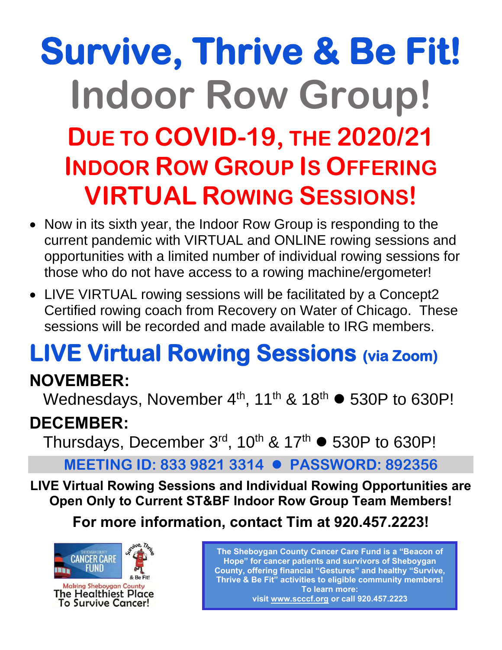# **Survive, Thrive & Be Fit! Indoor Row Group! DUE TO COVID-19, THE 2020/21 INDOOR ROW GROUP IS OFFERING VIRTUAL ROWING SESSIONS!**

- Now in its sixth year, the Indoor Row Group is responding to the current pandemic with VIRTUAL and ONLINE rowing sessions and opportunities with a limited number of individual rowing sessions for those who do not have access to a rowing machine/ergometer!
- LIVE VIRTUAL rowing sessions will be facilitated by a Concept2 Certified rowing coach from Recovery on Water of Chicago. These sessions will be recorded and made available to IRG members.

# **LIVE Virtual Rowing Sessions (via Zoom)**

### **NOVEMBER:**

Wednesdays, November  $4<sup>th</sup>$ , 11<sup>th</sup> & 18<sup>th</sup>  $\bullet$  530P to 630P!

### **DECEMBER:**

Thursdays, December  $3<sup>rd</sup>$ , 10<sup>th</sup> & 17<sup>th</sup>  $\bullet$  530P to 630P!

**MEETING ID: 833 9821 3314** ⚫ **PASSWORD: 892356**

**LIVE Virtual Rowing Sessions and Individual Rowing Opportunities are Open Only to Current ST&BF Indoor Row Group Team Members!**

**For more information, contact Tim at 920.457.2223!**



**The Sheboygan County Cancer Care Fund is a "Beacon of Hope" for cancer patients and survivors of Sheboygan County, offering financial "Gestures" and healthy "Survive, Thrive & Be Fit" activities to eligible community members! To learn more: visit [www.scccf.org](http://www.scccf.org/) or call 920.457.2223**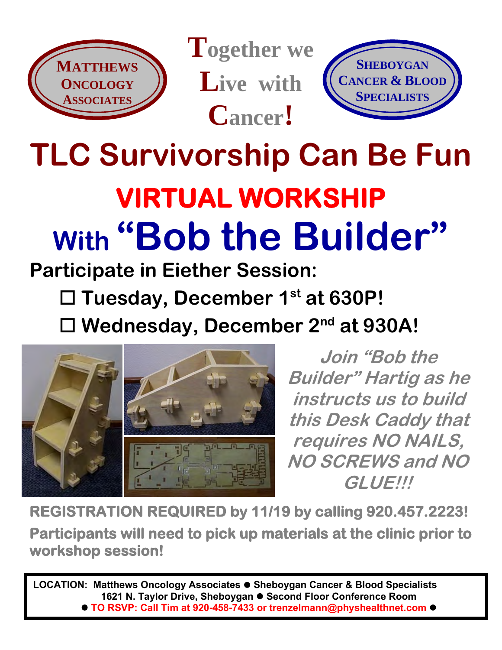

**Together we Live with Cancer!**



# **TLC Survivorship Can Be Fun VIRTUAL WORKSHIP With "Bob the Builder"**

### **Participate in Eiether Session:**

**Tuesday, December 1st at 630P!**

**Wednesday, December 2nd at 930A!**



**Join "Bob the Builder" Hartig as he instructs us to build this Desk Caddy that requires NO NAILS, NO SCREWS and NO GLUE!!!**

**REGISTRATION REQUIRED by 11/19 by calling 920.457.2223! Participants will need to pick up materials at the clinic prior to workshop session!** 

**LOCATION: Matthews Oncology Associates** ⚫ **Sheboygan Cancer & Blood Specialists 1621 N. Taylor Drive, Sheboygan** ⚫ **Second Floor Conference Room**  ■ **TO RSVP: Call Tim at 920-458-7433 or trenzelmann@physhealthnet.com**